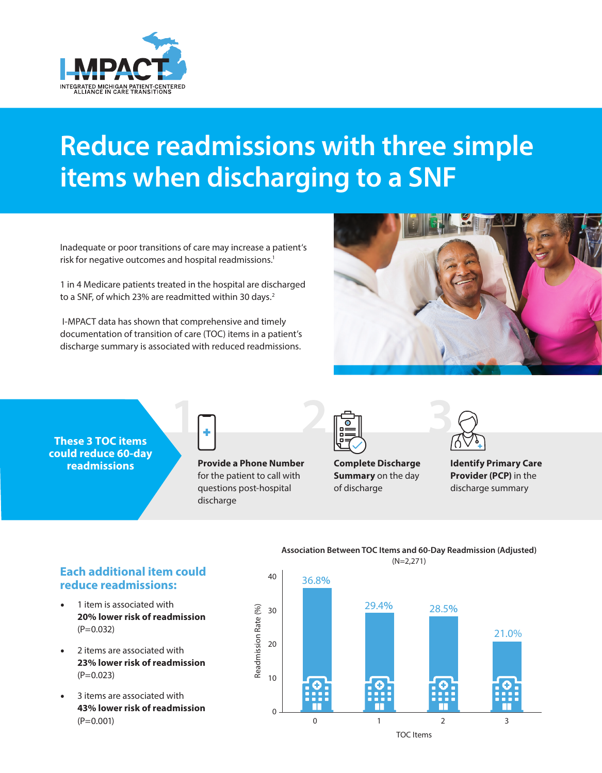

# **Reduce readmissions with three simple items when discharging to a SNF**

Inadequate or poor transitions of care may increase a patient's risk for negative outcomes and hospital readmissions.<sup>1</sup>

1 in 4 Medicare patients treated in the hospital are discharged to a SNF, of which 23% are readmitted within 30 days.<sup>2</sup>

I-MPACT data has shown that comprehensive and timely documentation of transition of care (TOC) items in a patient's discharge summary is associated with reduced readmissions.



**These 3 TOC items could reduce 60-day readmissions**



**Provide a Phone Number**  for the patient to call with questions post-hospital discharge



**Complete Discharge Summary** on the day of discharge



**Identify Primary Care Provider (PCP)** in the discharge summary



**Association Between TOC Items and 60-Day Readmission (Adjusted)** (N=2,271)

#### **Each additional item could reduce readmissions:**

- 1 item is associated with **20% lower risk of readmission**  $(P=0.032)$
- 2 items are associated with **23% lower risk of readmission**  $(P=0.023)$
- 3 items are associated with **43% lower risk of readmission** (P=0.001)